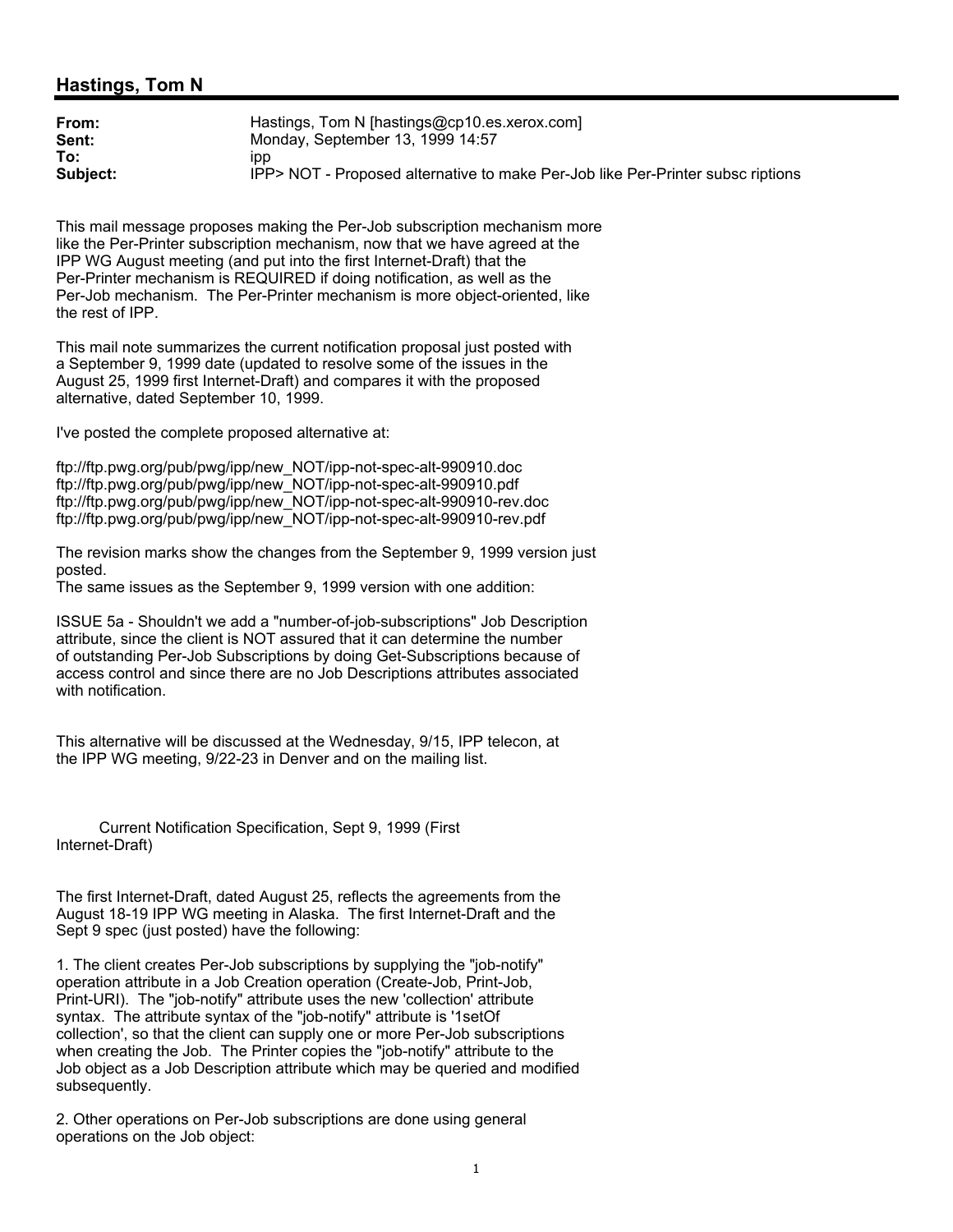## **Hastings, Tom N**

| From:    | Hastings, Tom N [hastings@cp10.es.xerox.com]                                    |
|----------|---------------------------------------------------------------------------------|
| Sent:    | Monday, September 13, 1999 14:57                                                |
| To:      | ıpp                                                                             |
| Subject: | IPP> NOT - Proposed alternative to make Per-Job like Per-Printer subsc riptions |

This mail message proposes making the Per-Job subscription mechanism more like the Per-Printer subscription mechanism, now that we have agreed at the IPP WG August meeting (and put into the first Internet-Draft) that the Per-Printer mechanism is REQUIRED if doing notification, as well as the Per-Job mechanism. The Per-Printer mechanism is more object-oriented, like the rest of IPP.

This mail note summarizes the current notification proposal just posted with a September 9, 1999 date (updated to resolve some of the issues in the August 25, 1999 first Internet-Draft) and compares it with the proposed alternative, dated September 10, 1999.

I've posted the complete proposed alternative at:

ftp://ftp.pwg.org/pub/pwg/ipp/new\_NOT/ipp-not-spec-alt-990910.doc ftp://ftp.pwg.org/pub/pwg/ipp/new\_NOT/ipp-not-spec-alt-990910.pdf ftp://ftp.pwg.org/pub/pwg/ipp/new\_NOT/ipp-not-spec-alt-990910-rev.doc ftp://ftp.pwg.org/pub/pwg/ipp/new\_NOT/ipp-not-spec-alt-990910-rev.pdf

The revision marks show the changes from the September 9, 1999 version just posted.

The same issues as the September 9, 1999 version with one addition:

ISSUE 5a - Shouldn't we add a "number-of-job-subscriptions" Job Description attribute, since the client is NOT assured that it can determine the number of outstanding Per-Job Subscriptions by doing Get-Subscriptions because of access control and since there are no Job Descriptions attributes associated with notification.

This alternative will be discussed at the Wednesday, 9/15, IPP telecon, at the IPP WG meeting, 9/22-23 in Denver and on the mailing list.

 Current Notification Specification, Sept 9, 1999 (First Internet-Draft)

The first Internet-Draft, dated August 25, reflects the agreements from the August 18-19 IPP WG meeting in Alaska. The first Internet-Draft and the Sept 9 spec (just posted) have the following:

1. The client creates Per-Job subscriptions by supplying the "job-notify" operation attribute in a Job Creation operation (Create-Job, Print-Job, Print-URI). The "job-notify" attribute uses the new 'collection' attribute syntax. The attribute syntax of the "job-notify" attribute is '1setOf collection', so that the client can supply one or more Per-Job subscriptions when creating the Job. The Printer copies the "job-notify" attribute to the Job object as a Job Description attribute which may be queried and modified subsequently.

2. Other operations on Per-Job subscriptions are done using general operations on the Job object: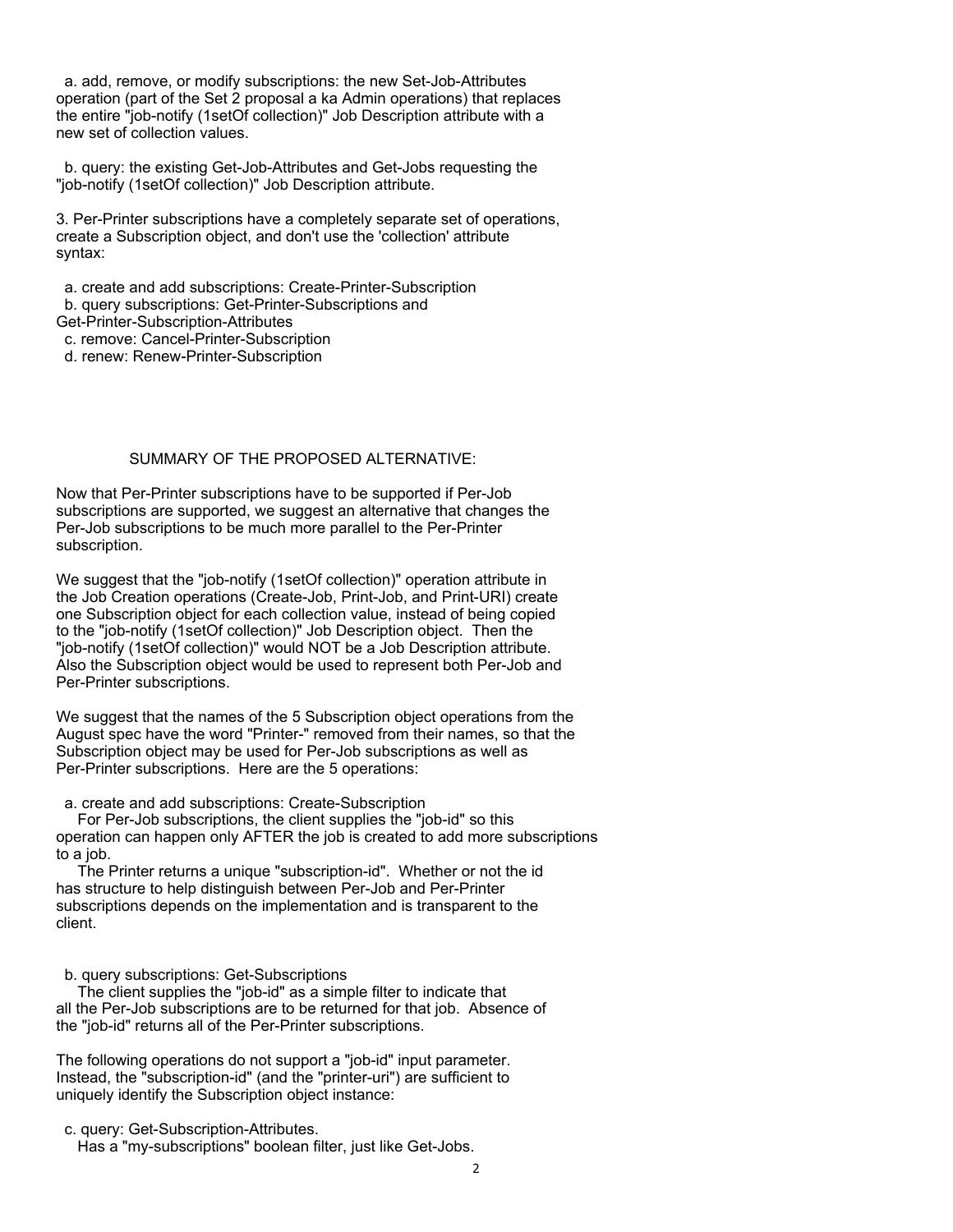a. add, remove, or modify subscriptions: the new Set-Job-Attributes operation (part of the Set 2 proposal a ka Admin operations) that replaces the entire "job-notify (1setOf collection)" Job Description attribute with a new set of collection values.

 b. query: the existing Get-Job-Attributes and Get-Jobs requesting the "job-notify (1setOf collection)" Job Description attribute.

3. Per-Printer subscriptions have a completely separate set of operations, create a Subscription object, and don't use the 'collection' attribute syntax:

a. create and add subscriptions: Create-Printer-Subscription

b. query subscriptions: Get-Printer-Subscriptions and

Get-Printer-Subscription-Attributes

c. remove: Cancel-Printer-Subscription

d. renew: Renew-Printer-Subscription

## SUMMARY OF THE PROPOSED ALTERNATIVE:

Now that Per-Printer subscriptions have to be supported if Per-Job subscriptions are supported, we suggest an alternative that changes the Per-Job subscriptions to be much more parallel to the Per-Printer subscription.

We suggest that the "job-notify (1setOf collection)" operation attribute in the Job Creation operations (Create-Job, Print-Job, and Print-URI) create one Subscription object for each collection value, instead of being copied to the "job-notify (1setOf collection)" Job Description object. Then the "job-notify (1setOf collection)" would NOT be a Job Description attribute. Also the Subscription object would be used to represent both Per-Job and Per-Printer subscriptions.

We suggest that the names of the 5 Subscription object operations from the August spec have the word "Printer-" removed from their names, so that the Subscription object may be used for Per-Job subscriptions as well as Per-Printer subscriptions. Here are the 5 operations:

a. create and add subscriptions: Create-Subscription

 For Per-Job subscriptions, the client supplies the "job-id" so this operation can happen only AFTER the job is created to add more subscriptions to a job.

 The Printer returns a unique "subscription-id". Whether or not the id has structure to help distinguish between Per-Job and Per-Printer subscriptions depends on the implementation and is transparent to the client.

b. query subscriptions: Get-Subscriptions

 The client supplies the "job-id" as a simple filter to indicate that all the Per-Job subscriptions are to be returned for that job. Absence of the "job-id" returns all of the Per-Printer subscriptions.

The following operations do not support a "job-id" input parameter. Instead, the "subscription-id" (and the "printer-uri") are sufficient to uniquely identify the Subscription object instance:

c. query: Get-Subscription-Attributes.

Has a "my-subscriptions" boolean filter, just like Get-Jobs.